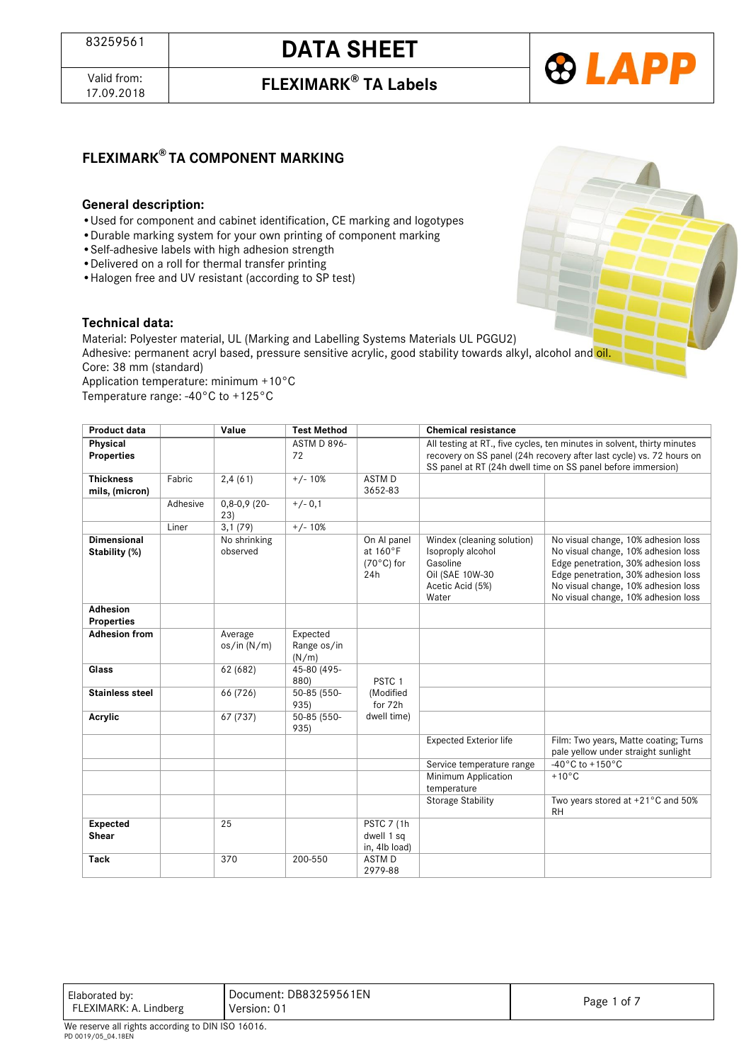Valid from:<br>17.09.2018



### **FLEXIMARK® TA COMPONENT MARKING**

#### **General description:**

- •Used for component and cabinet identification, CE marking and logotypes
- •Durable marking system for your own printing of component marking
- •Self-adhesive labels with high adhesion strength
- •Delivered on a roll for thermal transfer printing
- •Halogen free and UV resistant (according to SP test)

#### **Technical data:**

Material: Polyester material, UL (Marking and Labelling Systems Materials UL PGGU2) Adhesive: permanent acryl based, pressure sensitive acrylic, good stability towards alkyl, alcohol and oil. Core: 38 mm (standard) Application temperature: minimum +10°C

Temperature range: -40°C to +125°C

| <b>Product data</b>                  |          | Value                    | <b>Test Method</b>               |                                                        | <b>Chemical resistance</b>                                                                                                                                                                                      |                                                                                                                                                                                                                                        |  |  |
|--------------------------------------|----------|--------------------------|----------------------------------|--------------------------------------------------------|-----------------------------------------------------------------------------------------------------------------------------------------------------------------------------------------------------------------|----------------------------------------------------------------------------------------------------------------------------------------------------------------------------------------------------------------------------------------|--|--|
| Physical<br><b>Properties</b>        |          |                          | <b>ASTM D 896-</b><br>72         |                                                        | All testing at RT., five cycles, ten minutes in solvent, thirty minutes<br>recovery on SS panel (24h recovery after last cycle) vs. 72 hours on<br>SS panel at RT (24h dwell time on SS panel before immersion) |                                                                                                                                                                                                                                        |  |  |
| <b>Thickness</b><br>mils, (micron)   | Fabric   | 2,4(61)                  | $+/- 10%$                        | ASTM D<br>3652-83                                      |                                                                                                                                                                                                                 |                                                                                                                                                                                                                                        |  |  |
|                                      | Adhesive | $0,8-0,9(20-$<br>23)     | $+/- 0.1$                        |                                                        |                                                                                                                                                                                                                 |                                                                                                                                                                                                                                        |  |  |
|                                      | Liner    | 3,1(79)                  | $+/- 10%$                        |                                                        |                                                                                                                                                                                                                 |                                                                                                                                                                                                                                        |  |  |
| Dimensional<br>Stability (%)         |          | No shrinking<br>observed |                                  | On Al panel<br>at 160°F<br>$(70^{\circ}$ C) for<br>24h | Windex (cleaning solution)<br>Isoproply alcohol<br>Gasoline<br>Oil (SAE 10W-30<br>Acetic Acid (5%)<br>Water                                                                                                     | No visual change, 10% adhesion loss<br>No visual change, 10% adhesion loss<br>Edge penetration, 30% adhesion loss<br>Edge penetration, 30% adhesion loss<br>No visual change, 10% adhesion loss<br>No visual change, 10% adhesion loss |  |  |
| <b>Adhesion</b><br><b>Properties</b> |          |                          |                                  |                                                        |                                                                                                                                                                                                                 |                                                                                                                                                                                                                                        |  |  |
| <b>Adhesion from</b>                 |          | Average<br>os/in (N/m)   | Expected<br>Range os/in<br>(N/m) |                                                        |                                                                                                                                                                                                                 |                                                                                                                                                                                                                                        |  |  |
| Glass                                |          | 62 (682)                 | 45-80 (495-<br>880)              | PSTC <sub>1</sub>                                      |                                                                                                                                                                                                                 |                                                                                                                                                                                                                                        |  |  |
| <b>Stainless steel</b>               |          | 66 (726)                 | 50-85 (550-<br>935)              | (Modified<br>for 72h                                   |                                                                                                                                                                                                                 |                                                                                                                                                                                                                                        |  |  |
| Acrylic                              |          | 67 (737)                 | 50-85 (550-<br>935)              | dwell time)                                            |                                                                                                                                                                                                                 |                                                                                                                                                                                                                                        |  |  |
|                                      |          |                          |                                  |                                                        | <b>Expected Exterior life</b>                                                                                                                                                                                   | Film: Two years, Matte coating; Turns<br>pale yellow under straight sunlight                                                                                                                                                           |  |  |
|                                      |          |                          |                                  |                                                        | Service temperature range                                                                                                                                                                                       | $-40\degree$ C to +150 $\degree$ C                                                                                                                                                                                                     |  |  |
|                                      |          |                          |                                  |                                                        | Minimum Application<br>temperature                                                                                                                                                                              | $+10^{\circ}$ C                                                                                                                                                                                                                        |  |  |
|                                      |          |                          |                                  |                                                        | <b>Storage Stability</b>                                                                                                                                                                                        | Two years stored at +21°C and 50%<br><b>RH</b>                                                                                                                                                                                         |  |  |
| <b>Expected</b><br><b>Shear</b>      |          | 25                       |                                  | <b>PSTC 7 (1h)</b><br>dwell 1 sq<br>in, 4lb load)      |                                                                                                                                                                                                                 |                                                                                                                                                                                                                                        |  |  |
| <b>Tack</b>                          |          | 370                      | 200-550                          | <b>ASTMD</b><br>2979-88                                |                                                                                                                                                                                                                 |                                                                                                                                                                                                                                        |  |  |

| Elaborated by:         | Document: DB83259561EN | of ⊼ |
|------------------------|------------------------|------|
| FLEXIMARK: A. Lindberg | Version: 0             | Page |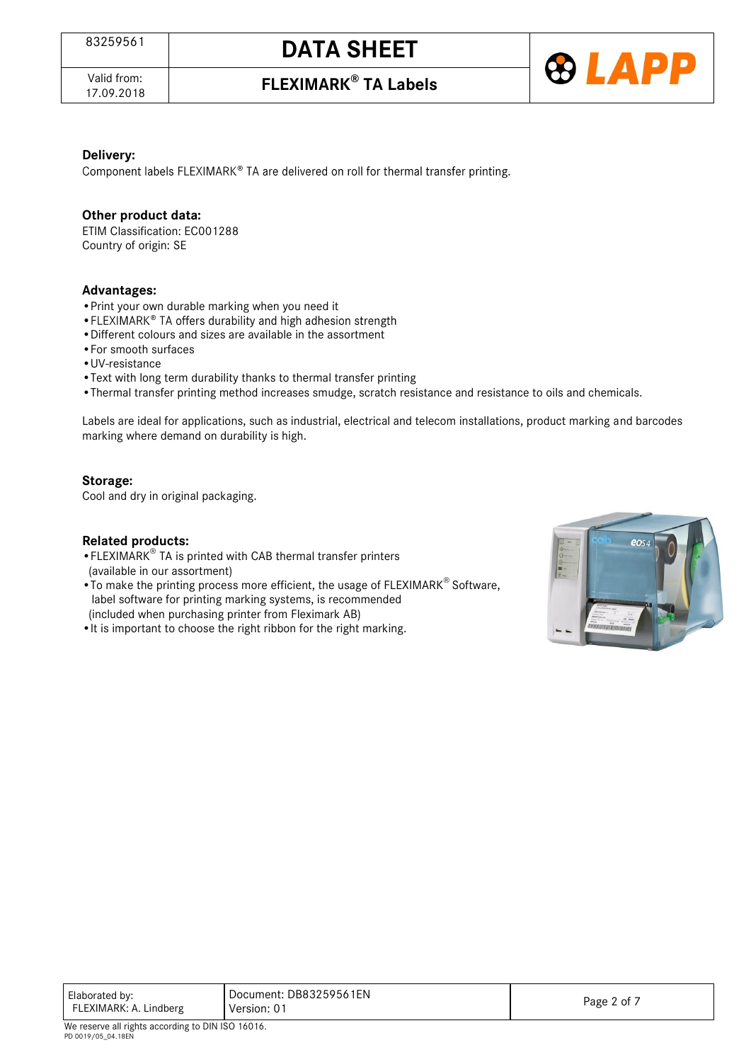Valid from:<br>17.09.2018

17.09.2018 **FLEXIMARK® TA Labels**



### **Delivery:**

Component labels FLEXIMARK® TA are delivered on roll for thermal transfer printing.

### **Other product data:**

ETIM Classification: EC001288 Country of origin: SE

### **Advantages:**

- 
- Print your own durable marking when you need it<br>• FLEXIMARK® TA offers durability and high adhesion strength
- •Different colours and sizes are available in the assortment
- •For smooth surfaces
- •UV-resistance
- •Text with long term durability thanks to thermal transfer printing
- •Thermal transfer printing method increases smudge, scratch resistance and resistance to oils and chemicals.

Labels are ideal for applications, such as industrial, electrical and telecom installations, product marking and barcodes marking where demand on durability is high.

### **Storage:**

Cool and dry in original packaging.

### **Related products:**

- •FLEXIMARK® TA is printed with CAB thermal transfer printers (available in our assortment)
- To make the printing process more efficient, the usage of FLEXIMARK® Software, label software for printing marking systems, is recommended (included when purchasing printer from Fleximark AB)
- •It is important to choose the right ribbon for the right marking.



| Elaborated by:<br>FLEXIMARK: A. Lindberg | Document: DB83259561EN<br>Version: 01 | Page 2 of 7 |
|------------------------------------------|---------------------------------------|-------------|
|------------------------------------------|---------------------------------------|-------------|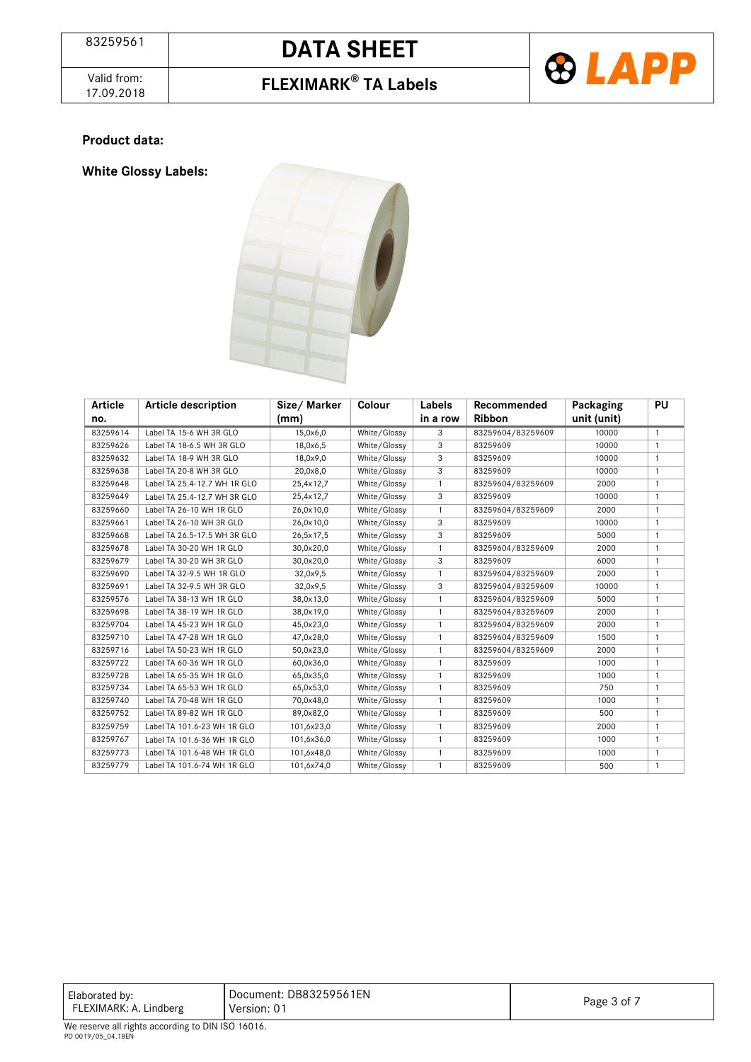Valid from:<br>17.09.2018

## 17.09.2018 **FLEXIMARK® TA Labels**



### **Product data:**

**White Glossy Labels:**



| Article  | <b>Article description</b>   | Size/Marker | Colour       | Labels       | Recommended       | Packaging   | PU             |
|----------|------------------------------|-------------|--------------|--------------|-------------------|-------------|----------------|
| no.      |                              | (mm)        |              | in a row     | <b>Ribbon</b>     | unit (unit) |                |
| 83259614 | Label TA 15-6 WH 3R GLO      | 15,0x6,0    | White/Glossy | 3            | 83259604/83259609 | 10000       | $\mathbf{1}$   |
| 83259626 | Label TA 18-6.5 WH 3R GLO    | 18,0x6,5    | White/Glossy | 3            | 83259609          | 10000       | $\mathbf{1}$   |
| 83259632 | Label TA 18-9 WH 3R GLO      | 18,0x9,0    | White/Glossy | 3            | 83259609          | 10000       | $\mathbf{1}$   |
| 83259638 | Label TA 20-8 WH 3R GLO      | 20,0x8,0    | White/Glossy | 3            | 83259609          | 10000       | $\mathbf{1}$   |
| 83259648 | Label TA 25.4-12.7 WH 1R GLO | 25,4x12,7   | White/Glossy | $\mathbf{1}$ | 83259604/83259609 | 2000        | $\mathbf{1}$   |
| 83259649 | Label TA 25.4-12.7 WH 3R GLO | 25,4x12,7   | White/Glossy | 3            | 83259609          | 10000       | $\mathbf{1}$   |
| 83259660 | Label TA 26-10 WH 1R GLO     | 26,0x10,0   | White/Glossy | $\mathbf{1}$ | 83259604/83259609 | 2000        | $\mathbf{1}$   |
| 83259661 | Label TA 26-10 WH 3R GLO     | 26,0x10,0   | White/Glossy | 3            | 83259609          | 10000       | $\mathbf{1}$   |
| 83259668 | Label TA 26.5-17.5 WH 3R GLO | 26,5x17,5   | White/Glossy | 3            | 83259609          | 5000        | $\mathbf{1}$   |
| 83259678 | Label TA 30-20 WH 1R GLO     | 30,0x20,0   | White/Glossy | 1            | 83259604/83259609 | 2000        | $\mathbf{1}$   |
| 83259679 | Label TA 30-20 WH 3R GLO     | 30,0x20,0   | White/Glossy | 3            | 83259609          | 6000        | $\mathbf{1}$   |
| 83259690 | Label TA 32-9.5 WH 1R GLO    | 32,0x9,5    | White/Glossy | $\mathbf{1}$ | 83259604/83259609 | 2000        | $\mathbf{1}$   |
| 83259691 | Label TA 32-9.5 WH 3R GLO    | 32,0x9,5    | White/Glossy | 3            | 83259604/83259609 | 10000       | $\mathbf{1}$   |
| 83259576 | Label TA 38-13 WH 1R GLO     | 38,0x13,0   | White/Glossy | $\mathbf{1}$ | 83259604/83259609 | 5000        | $\mathbf{1}$   |
| 83259698 | Label TA 38-19 WH 1R GLO     | 38,0x19,0   | White/Glossy | $\mathbf{1}$ | 83259604/83259609 | 2000        | $\overline{1}$ |
| 83259704 | Label TA 45-23 WH 1R GLO     | 45,0x23,0   | White/Glossy | $\mathbf{1}$ | 83259604/83259609 | 2000        | $\mathbf{1}$   |
| 83259710 | Label TA 47-28 WH 1R GLO     | 47,0x28,0   | White/Glossy | $\mathbf{1}$ | 83259604/83259609 | 1500        | $\mathbf{1}$   |
| 83259716 | Label TA 50-23 WH 1R GLO     | 50,0x23,0   | White/Glossy | $\mathbf{1}$ | 83259604/83259609 | 2000        | $\mathbf{1}$   |
| 83259722 | Label TA 60-36 WH 1R GLO     | 60,0x36,0   | White/Glossy | 1            | 83259609          | 1000        | $\mathbf{1}$   |
| 83259728 | Label TA 65-35 WH 1R GLO     | 65,0x35,0   | White/Glossy | $\mathbf{1}$ | 83259609          | 1000        | $\mathbf{1}$   |
| 83259734 | Label TA 65-53 WH 1R GLO     | 65,0x53,0   | White/Glossy | 1            | 83259609          | 750         | $\mathbf{1}$   |
| 83259740 | Label TA 70-48 WH 1R GLO     | 70,0x48,0   | White/Glossy | $\mathbf{1}$ | 83259609          | 1000        | $\mathbf{1}$   |
| 83259752 | Label TA 89-82 WH 1R GLO     | 89,0x82,0   | White/Glossy | $\mathbf{1}$ | 83259609          | 500         | $\mathbf{1}$   |
| 83259759 | Label TA 101.6-23 WH 1R GLO  | 101,6x23,0  | White/Glossy | $\mathbf{1}$ | 83259609          | 2000        | $\mathbf{1}$   |
| 83259767 | Label TA 101.6-36 WH 1R GLO  | 101,6x36,0  | White/Glossy | $\mathbf{1}$ | 83259609          | 1000        | $\mathbf{1}$   |
| 83259773 | Label TA 101.6-48 WH 1R GLO  | 101,6x48,0  | White/Glossy | $\mathbf{1}$ | 83259609          | 1000        | $\mathbf{1}$   |
| 83259779 | Label TA 101.6-74 WH 1R GLO  | 101,6x74,0  | White/Glossy | $\mathbf{1}$ | 83259609          | 500         | $\mathbf{1}$   |

| Elaborated by:<br>FLEXIMARK: A. Lindberg | Document: DB83259561EN<br>Version: 01 | Page 3 of 7 |  |  |  |
|------------------------------------------|---------------------------------------|-------------|--|--|--|
| .<br>.                                   |                                       |             |  |  |  |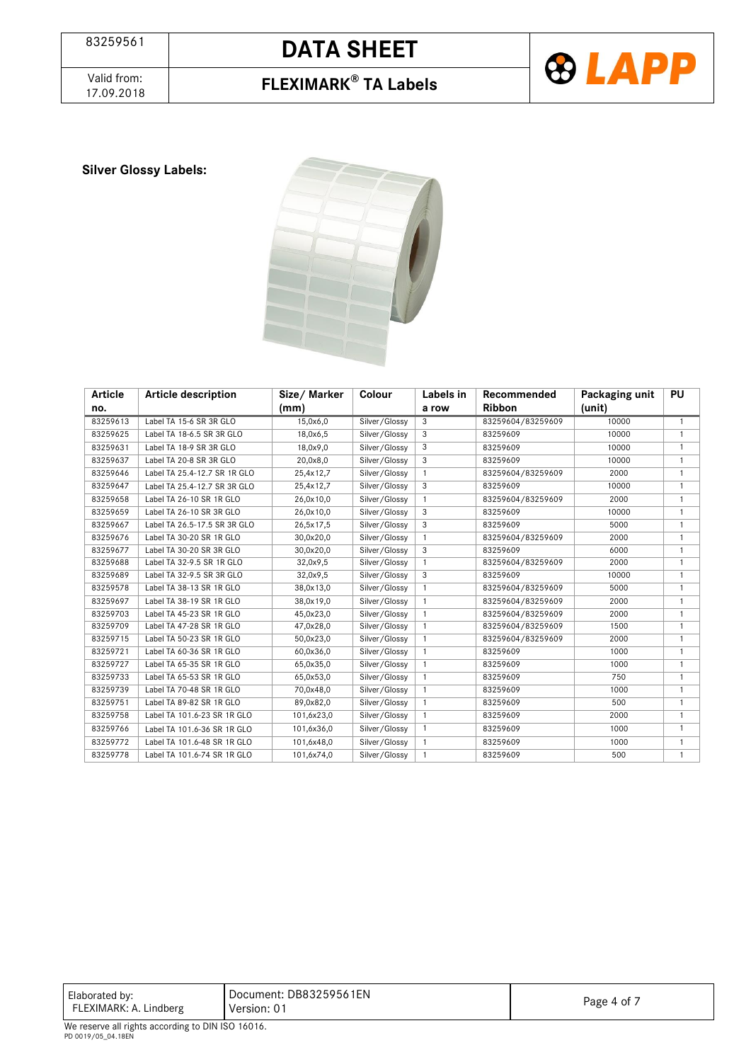Valid from:<br>17.09.2018





**Silver Glossy Labels:**



| Article  | Article description          | Size/Marker | Colour        | Labels in    | Recommended       | Packaging unit | <b>PU</b>    |
|----------|------------------------------|-------------|---------------|--------------|-------------------|----------------|--------------|
| no.      |                              | (mm)        |               | a row        | <b>Ribbon</b>     | (unit)         |              |
| 83259613 | Label TA 15-6 SR 3R GLO      | 15,0x6,0    | Silver/Glossy | 3            | 83259604/83259609 | 10000          | $\mathbf{1}$ |
| 83259625 | Label TA 18-6.5 SR 3R GLO    | 18,0x6,5    | Silver/Glossy | 3            | 83259609          | 10000          | $\mathbf{1}$ |
| 83259631 | Label TA 18-9 SR 3R GLO      | 18,0x9,0    | Silver/Glossy | 3            | 83259609          | 10000          | $\mathbf{1}$ |
| 83259637 | Label TA 20-8 SR 3R GLO      | 20,0x8,0    | Silver/Glossy | 3            | 83259609          | 10000          | $\mathbf{1}$ |
| 83259646 | Label TA 25.4-12.7 SR 1R GLO | 25,4x12,7   | Silver/Glossy | $\mathbf{1}$ | 83259604/83259609 | 2000           | $\mathbf{1}$ |
| 83259647 | Label TA 25.4-12.7 SR 3R GLO | 25,4x12,7   | Silver/Glossy | 3            | 83259609          | 10000          | $\mathbf{1}$ |
| 83259658 | Label TA 26-10 SR 1R GLO     | 26,0x10,0   | Silver/Glossy | $\mathbf{1}$ | 83259604/83259609 | 2000           | $\mathbf{1}$ |
| 83259659 | Label TA 26-10 SR 3R GLO     | 26,0x10,0   | Silver/Glossy | 3            | 83259609          | 10000          | $\mathbf{1}$ |
| 83259667 | Label TA 26.5-17.5 SR 3R GLO | 26,5x17,5   | Silver/Glossy | 3            | 83259609          | 5000           | $\mathbf{1}$ |
| 83259676 | Label TA 30-20 SR 1R GLO     | 30,0x20,0   | Silver/Glossy | $\mathbf{1}$ | 83259604/83259609 | 2000           | $\mathbf{1}$ |
| 83259677 | Label TA 30-20 SR 3R GLO     | 30,0x20,0   | Silver/Glossy | 3            | 83259609          | 6000           | $\mathbf{1}$ |
| 83259688 | Label TA 32-9.5 SR 1R GLO    | 32,0x9,5    | Silver/Glossy | $\mathbf{1}$ | 83259604/83259609 | 2000           | $\mathbf{1}$ |
| 83259689 | Label TA 32-9.5 SR 3R GLO    | 32,0x9,5    | Silver/Glossy | 3            | 83259609          | 10000          | $\mathbf{1}$ |
| 83259578 | Label TA 38-13 SR 1R GLO     | 38,0x13,0   | Silver/Glossy | $\mathbf{1}$ | 83259604/83259609 | 5000           | $\mathbf{1}$ |
| 83259697 | Label TA 38-19 SR 1R GLO     | 38,0x19,0   | Silver/Glossy | $\mathbf{1}$ | 83259604/83259609 | 2000           | $\mathbf{1}$ |
| 83259703 | Label TA 45-23 SR 1R GLO     | 45,0x23,0   | Silver/Glossy | $\mathbf{1}$ | 83259604/83259609 | 2000           | $\mathbf{1}$ |
| 83259709 | Label TA 47-28 SR 1R GLO     | 47,0x28,0   | Silver/Glossy | $\mathbf{1}$ | 83259604/83259609 | 1500           | $\mathbf{1}$ |
| 83259715 | Label TA 50-23 SR 1R GLO     | 50,0x23,0   | Silver/Glossy | $\mathbf{1}$ | 83259604/83259609 | 2000           | $\mathbf{1}$ |
| 83259721 | Label TA 60-36 SR 1R GLO     | 60,0x36,0   | Silver/Glossy | $\mathbf{1}$ | 83259609          | 1000           | $\mathbf{1}$ |
| 83259727 | Label TA 65-35 SR 1R GLO     | 65,0x35,0   | Silver/Glossy | $\mathbf{1}$ | 83259609          | 1000           | $\mathbf{1}$ |
| 83259733 | Label TA 65-53 SR 1R GLO     | 65,0x53,0   | Silver/Glossy | $\mathbf{1}$ | 83259609          | 750            | $\mathbf{1}$ |
| 83259739 | Label TA 70-48 SR 1R GLO     | 70,0x48,0   | Silver/Glossy | $\mathbf{1}$ | 83259609          | 1000           | $\mathbf{1}$ |
| 83259751 | Label TA 89-82 SR 1R GLO     | 89,0x82,0   | Silver/Glossy | $\mathbf{1}$ | 83259609          | 500            | $\mathbf{1}$ |
| 83259758 | Label TA 101.6-23 SR 1R GLO  | 101,6x23,0  | Silver/Glossy | 1            | 83259609          | 2000           | $\mathbf{1}$ |
| 83259766 | Label TA 101.6-36 SR 1R GLO  | 101,6x36,0  | Silver/Glossy | $\mathbf{1}$ | 83259609          | 1000           | $\mathbf{1}$ |
| 83259772 | Label TA 101.6-48 SR 1R GLO  | 101,6x48,0  | Silver/Glossy | $\mathbf{1}$ | 83259609          | 1000           | $\mathbf{1}$ |
| 83259778 | Label TA 101.6-74 SR 1R GLO  | 101,6x74,0  | Silver/Glossy | 1            | 83259609          | 500            | $\mathbf{1}$ |

| Elaborated by:            | Document: DB83259561EN | . 4 of |  |  |  |
|---------------------------|------------------------|--------|--|--|--|
| FLEXIMARK: A. Lindberg    | Version: 0             | Page   |  |  |  |
| _ _ _ _ _ _ _ _<br>.<br>. |                        |        |  |  |  |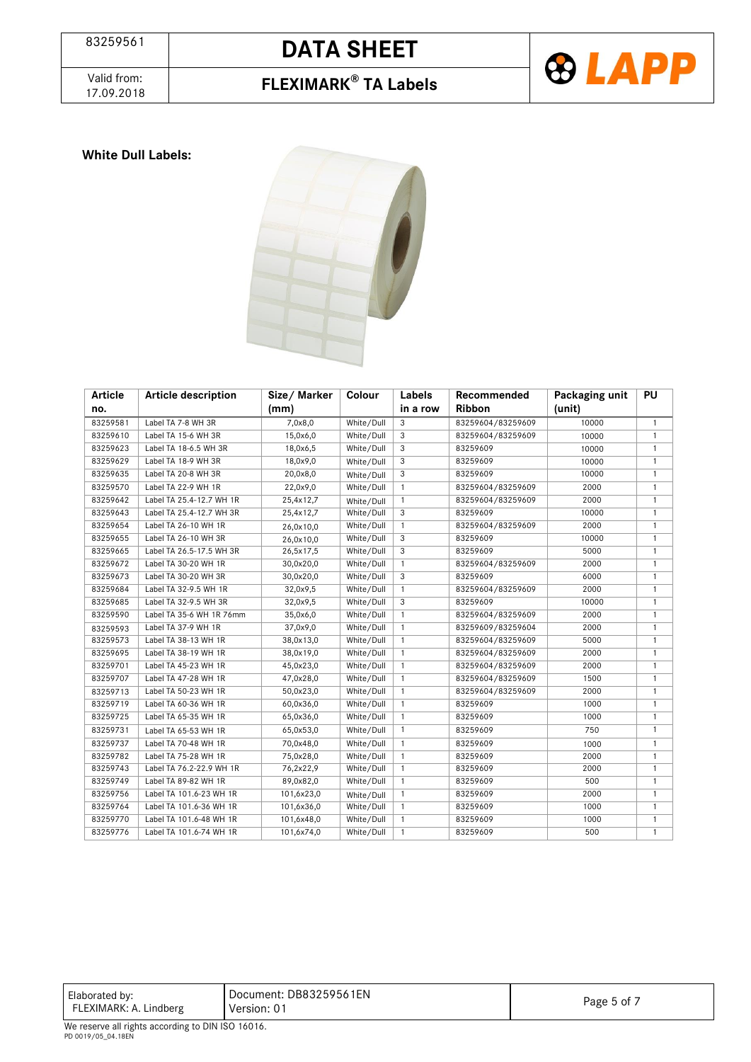

### 17.09.2018 **FLEXIMARK® TA Labels**



### **White Dull Labels:**



| Article  | <b>Article description</b> | Size/Marker | Colour     | Labels       | Recommended       | Packaging unit | <b>PU</b>    |
|----------|----------------------------|-------------|------------|--------------|-------------------|----------------|--------------|
| no.      |                            | (mm)        |            | in a row     | <b>Ribbon</b>     | (unit)         |              |
| 83259581 | Label TA 7-8 WH 3R         | 7,0x8,0     | White/Dull | 3            | 83259604/83259609 | 10000          | $\mathbf{1}$ |
| 83259610 | Label TA 15-6 WH 3R        | 15,0x6,0    | White/Dull | 3            | 83259604/83259609 | 10000          | $\mathbf{1}$ |
| 83259623 | Label TA 18-6.5 WH 3R      | 18,0x6,5    | White/Dull | 3            | 83259609          | 10000          | $\mathbf{1}$ |
| 83259629 | Label TA 18-9 WH 3R        | 18,0x9,0    | White/Dull | 3            | 83259609          | 10000          | $\mathbf{1}$ |
| 83259635 | Label TA 20-8 WH 3R        | 20,0x8,0    | White/Dull | 3            | 83259609          | 10000          | $\mathbf{1}$ |
| 83259570 | Label TA 22-9 WH 1R        | 22,0x9,0    | White/Dull | $\mathbf{1}$ | 83259604/83259609 | 2000           | $\mathbf{1}$ |
| 83259642 | Label TA 25.4-12.7 WH 1R   | 25,4x12,7   | White/Dull | 1            | 83259604/83259609 | 2000           | $\mathbf{1}$ |
| 83259643 | Label TA 25.4-12.7 WH 3R   | 25,4x12,7   | White/Dull | 3            | 83259609          | 10000          | $\mathbf{1}$ |
| 83259654 | Label TA 26-10 WH 1R       | 26,0x10,0   | White/Dull | $\mathbf{1}$ | 83259604/83259609 | 2000           | $\mathbf{1}$ |
| 83259655 | Label TA 26-10 WH 3R       | 26,0x10,0   | White/Dull | 3            | 83259609          | 10000          | $\mathbf{1}$ |
| 83259665 | Label TA 26.5-17.5 WH 3R   | 26,5x17,5   | White/Dull | 3            | 83259609          | 5000           | $\mathbf{1}$ |
| 83259672 | Label TA 30-20 WH 1R       | 30,0x20,0   | White/Dull | $\mathbf{1}$ | 83259604/83259609 | 2000           | $\mathbf{1}$ |
| 83259673 | Label TA 30-20 WH 3R       | 30,0x20,0   | White/Dull | 3            | 83259609          | 6000           | $\mathbf{1}$ |
| 83259684 | Label TA 32-9.5 WH 1R      | 32,0x9,5    | White/Dull | $\mathbf{1}$ | 83259604/83259609 | 2000           | $\mathbf{1}$ |
| 83259685 | Label TA 32-9.5 WH 3R      | 32,0x9,5    | White/Dull | 3            | 83259609          | 10000          | $\mathbf{1}$ |
| 83259590 | Label TA 35-6 WH 1R 76mm   | 35,0x6,0    | White/Dull | $\mathbf{1}$ | 83259604/83259609 | 2000           | $\mathbf{1}$ |
| 83259593 | Label TA 37-9 WH 1R        | 37,0x9,0    | White/Dull | $\mathbf{1}$ | 83259609/83259604 | 2000           | $\mathbf{1}$ |
| 83259573 | Label TA 38-13 WH 1R       | 38,0x13,0   | White/Dull | $\mathbf{1}$ | 83259604/83259609 | 5000           | 1            |
| 83259695 | Label TA 38-19 WH 1R       | 38,0x19,0   | White/Dull | $\mathbf{1}$ | 83259604/83259609 | 2000           | 1            |
| 83259701 | Label TA 45-23 WH 1R       | 45,0x23,0   | White/Dull | $\mathbf{1}$ | 83259604/83259609 | 2000           | $\mathbf{1}$ |
| 83259707 | Label TA 47-28 WH 1R       | 47,0x28,0   | White/Dull | $\mathbf{1}$ | 83259604/83259609 | 1500           | $\mathbf{1}$ |
| 83259713 | Label TA 50-23 WH 1R       | 50,0x23,0   | White/Dull | $\mathbf{1}$ | 83259604/83259609 | 2000           | $\mathbf{1}$ |
| 83259719 | Label TA 60-36 WH 1R       | 60,0x36,0   | White/Dull | $\mathbf{1}$ | 83259609          | 1000           | $\mathbf{1}$ |
| 83259725 | Label TA 65-35 WH 1R       | 65,0x36,0   | White/Dull | $\mathbf{1}$ | 83259609          | 1000           | $\mathbf{1}$ |
| 83259731 | Label TA 65-53 WH 1R       | 65,0x53,0   | White/Dull | $\mathbf{1}$ | 83259609          | 750            | $\mathbf{1}$ |
| 83259737 | Label TA 70-48 WH 1R       | 70,0x48,0   | White/Dull | $\mathbf{1}$ | 83259609          | 1000           | $\mathbf{1}$ |
| 83259782 | Label TA 75-28 WH 1R       | 75,0x28,0   | White/Dull | $\mathbf{1}$ | 83259609          | 2000           | $\mathbf{1}$ |
| 83259743 | Label TA 76.2-22.9 WH 1R   | 76,2x22,9   | White/Dull | $\mathbf{1}$ | 83259609          | 2000           | $\mathbf{1}$ |
| 83259749 | Label TA 89-82 WH 1R       | 89,0x82,0   | White/Dull | $\mathbf{1}$ | 83259609          | 500            | $\mathbf{1}$ |
| 83259756 | Label TA 101.6-23 WH 1R    | 101,6x23,0  | White/Dull | $\mathbf{1}$ | 83259609          | 2000           | $\mathbf{1}$ |
| 83259764 | Label TA 101.6-36 WH 1R    | 101,6x36,0  | White/Dull | 1            | 83259609          | 1000           | $\mathbf{1}$ |
| 83259770 | Label TA 101.6-48 WH 1R    | 101,6x48,0  | White/Dull | $\mathbf{1}$ | 83259609          | 1000           | $\mathbf{1}$ |
| 83259776 | Label TA 101.6-74 WH 1R    | 101,6x74,0  | White/Dull | $\mathbf{1}$ | 83259609          | 500            | $\mathbf{1}$ |

| Elaborated by:<br>FLEXIMARK: A. Lindberg              | Document: DB83259561EN<br>Version: 01 | Page 5 of 7 |  |  |
|-------------------------------------------------------|---------------------------------------|-------------|--|--|
| $M_{\odot}$ assume all able secondicate DIN ICO 14014 |                                       |             |  |  |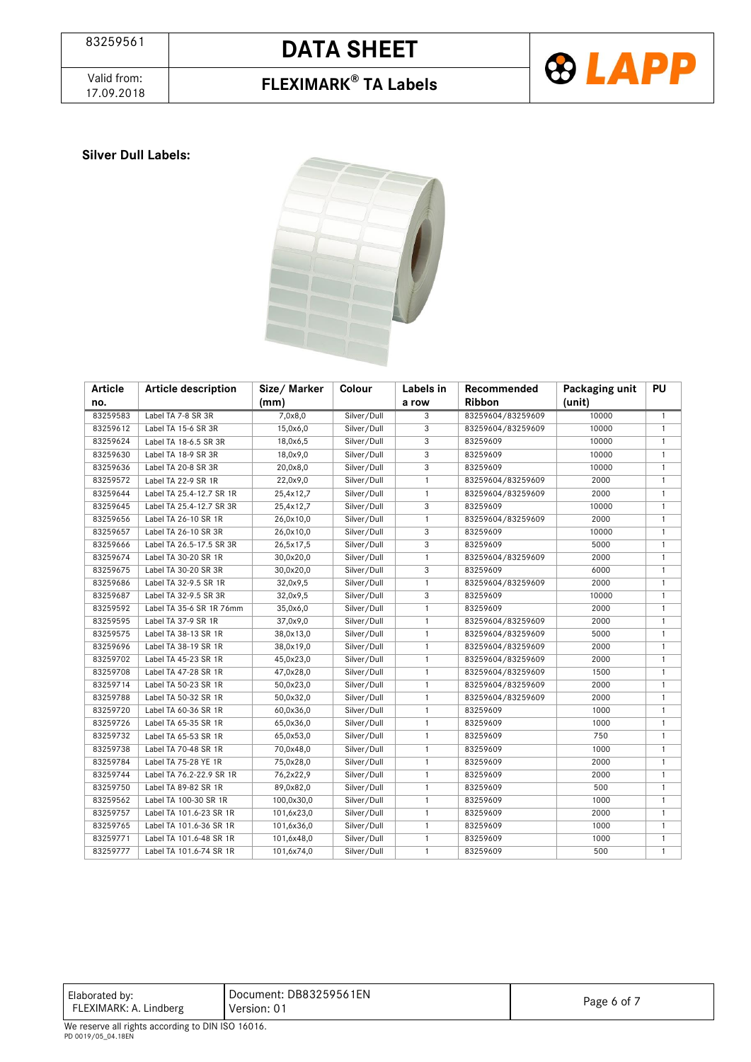Valid from:<br>17.09.2018

## 17.09.2018 **FLEXIMARK® TA Labels**



### **Silver Dull Labels:**



| <b>Article</b> | <b>Article description</b> | Size/Marker | Colour      | Labels in    | Recommended       | Packaging unit | <b>PU</b>    |
|----------------|----------------------------|-------------|-------------|--------------|-------------------|----------------|--------------|
| no.            |                            | (mm)        |             | a row        | <b>Ribbon</b>     | (unit)         |              |
| 83259583       | Label TA 7-8 SR 3R         | 7,0x8,0     | Silver/Dull | 3            | 83259604/83259609 | 10000          | $\mathbf{1}$ |
| 83259612       | Label TA 15-6 SR 3R        | 15,0x6,0    | Silver/Dull | 3            | 83259604/83259609 | 10000          | $\mathbf{1}$ |
| 83259624       | Label TA 18-6.5 SR 3R      | 18,0x6,5    | Silver/Dull | 3            | 83259609          | 10000          | $\mathbf{1}$ |
| 83259630       | Label TA 18-9 SR 3R        | 18,0x9,0    | Silver/Dull | 3            | 83259609          | 10000          | $\mathbf{1}$ |
| 83259636       | Label TA 20-8 SR 3R        | 20,0x8,0    | Silver/Dull | 3            | 83259609          | 10000          | $\mathbf{1}$ |
| 83259572       | Label TA 22-9 SR 1R        | 22,0x9,0    | Silver/Dull | $\mathbf{1}$ | 83259604/83259609 | 2000           | $\mathbf{1}$ |
| 83259644       | Label TA 25.4-12.7 SR 1R   | 25,4x12,7   | Silver/Dull | $\mathbf{1}$ | 83259604/83259609 | 2000           | $\mathbf{1}$ |
| 83259645       | Label TA 25.4-12.7 SR 3R   | 25,4x12,7   | Silver/Dull | 3            | 83259609          | 10000          | $\mathbf{1}$ |
| 83259656       | Label TA 26-10 SR 1R       | 26,0x10,0   | Silver/Dull | $\mathbf{1}$ | 83259604/83259609 | 2000           | $\mathbf{1}$ |
| 83259657       | Label TA 26-10 SR 3R       | 26,0x10,0   | Silver/Dull | 3            | 83259609          | 10000          | $\mathbf{1}$ |
| 83259666       | Label TA 26.5-17.5 SR 3R   | 26,5x17,5   | Silver/Dull | 3            | 83259609          | 5000           | $\mathbf{1}$ |
| 83259674       | Label TA 30-20 SR 1R       | 30,0x20,0   | Silver/Dull | $\mathbf{1}$ | 83259604/83259609 | 2000           | $\mathbf{1}$ |
| 83259675       | Label TA 30-20 SR 3R       | 30,0x20,0   | Silver/Dull | 3            | 83259609          | 6000           | $\mathbf{1}$ |
| 83259686       | Label TA 32-9.5 SR 1R      | 32,0x9,5    | Silver/Dull | $\mathbf{1}$ | 83259604/83259609 | 2000           | $\mathbf{1}$ |
| 83259687       | Label TA 32-9.5 SR 3R      | 32,0x9,5    | Silver/Dull | 3            | 83259609          | 10000          | $\mathbf{1}$ |
| 83259592       | Label TA 35-6 SR 1R 76mm   | 35,0x6,0    | Silver/Dull | $\mathbf{1}$ | 83259609          | 2000           | $\mathbf{1}$ |
| 83259595       | Label TA 37-9 SR 1R        | 37,0x9,0    | Silver/Dull | $\mathbf{1}$ | 83259604/83259609 | 2000           | $\mathbf{1}$ |
| 83259575       | Label TA 38-13 SR 1R       | 38,0x13,0   | Silver/Dull | $\mathbf{1}$ | 83259604/83259609 | 5000           | $\mathbf{1}$ |
| 83259696       | Label TA 38-19 SR 1R       | 38,0x19,0   | Silver/Dull | $\mathbf{1}$ | 83259604/83259609 | 2000           | $\mathbf{1}$ |
| 83259702       | Label TA 45-23 SR 1R       | 45,0x23,0   | Silver/Dull | $\mathbf{1}$ | 83259604/83259609 | 2000           | $\mathbf{1}$ |
| 83259708       | Label TA 47-28 SR 1R       | 47,0x28,0   | Silver/Dull | $\mathbf{1}$ | 83259604/83259609 | 1500           | $\mathbf{1}$ |
| 83259714       | Label TA 50-23 SR 1R       | 50,0x23,0   | Silver/Dull | $\mathbf{1}$ | 83259604/83259609 | 2000           | $\mathbf{1}$ |
| 83259788       | Label TA 50-32 SR 1R       | 50,0x32,0   | Silver/Dull | $\mathbf{1}$ | 83259604/83259609 | 2000           | $\mathbf{1}$ |
| 83259720       | Label TA 60-36 SR 1R       | 60,0x36,0   | Silver/Dull | $\mathbf{1}$ | 83259609          | 1000           | $\mathbf{1}$ |
| 83259726       | Label TA 65-35 SR 1R       | 65,0x36,0   | Silver/Dull | $\mathbf{1}$ | 83259609          | 1000           | $\mathbf{1}$ |
| 83259732       | Label TA 65-53 SR 1R       | 65,0x53,0   | Silver/Dull | $\mathbf{1}$ | 83259609          | 750            | $\mathbf{1}$ |
| 83259738       | Label TA 70-48 SR 1R       | 70,0x48,0   | Silver/Dull | $\mathbf{1}$ | 83259609          | 1000           | $\mathbf{1}$ |
| 83259784       | Label TA 75-28 YE 1R       | 75,0x28,0   | Silver/Dull | $\mathbf{1}$ | 83259609          | 2000           | $\mathbf{1}$ |
| 83259744       | Label TA 76.2-22.9 SR 1R   | 76,2x22,9   | Silver/Dull | $\mathbf{1}$ | 83259609          | 2000           | $\mathbf{1}$ |
| 83259750       | Label TA 89-82 SR 1R       | 89,0x82,0   | Silver/Dull | $\mathbf{1}$ | 83259609          | 500            | $\mathbf{1}$ |
| 83259562       | Label TA 100-30 SR 1R      | 100,0x30,0  | Silver/Dull | $\mathbf{1}$ | 83259609          | 1000           | $\mathbf{1}$ |
| 83259757       | Label TA 101.6-23 SR 1R    | 101,6x23,0  | Silver/Dull | $\mathbf{1}$ | 83259609          | 2000           | $\mathbf{1}$ |
| 83259765       | Label TA 101.6-36 SR 1R    | 101,6x36,0  | Silver/Dull | $\mathbf{1}$ | 83259609          | 1000           | $\mathbf{1}$ |
| 83259771       | Label TA 101.6-48 SR 1R    | 101,6x48,0  | Silver/Dull | $\mathbf{1}$ | 83259609          | 1000           | $\mathbf{1}$ |
| 83259777       | Label TA 101.6-74 SR 1R    | 101,6x74,0  | Silver/Dull | $\mathbf{1}$ | 83259609          | 500            | $\mathbf{1}$ |

| Elaborated by:<br>FLEXIMARK: A. Lindberg | Document: DB83259561EN<br>Version: 01 | Page 6 of |
|------------------------------------------|---------------------------------------|-----------|
| .                                        |                                       |           |